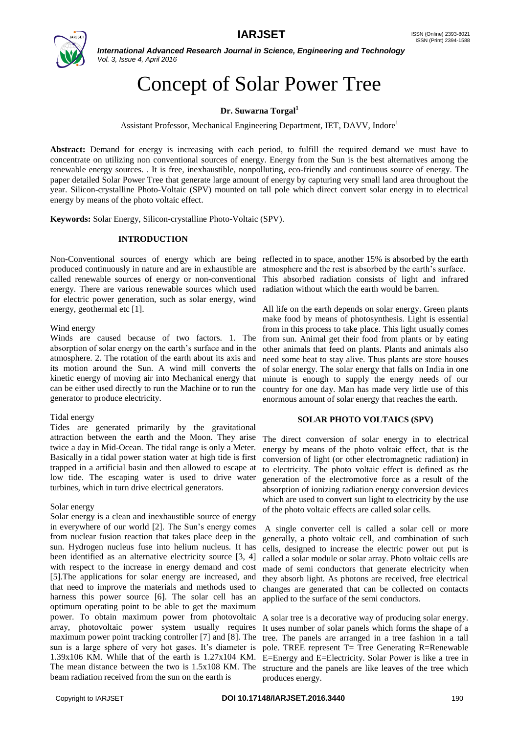

*International Advanced Research Journal in Science, Engineering and Technology Vol. 3, Issue 4, April 2016*

# Concept of Solar Power Tree

## **Dr. Suwarna Torgal<sup>1</sup>**

Assistant Professor, Mechanical Engineering Department, IET, DAVV, Indore<sup>1</sup>

**Abstract:** Demand for energy is increasing with each period, to fulfill the required demand we must have to concentrate on utilizing non conventional sources of energy. Energy from the Sun is the best alternatives among the renewable energy sources. . It is free, inexhaustible, nonpolluting, eco-friendly and continuous source of energy. The paper detailed Solar Power Tree that generate large amount of energy by capturing very small land area throughout the year. Silicon-crystalline Photo-Voltaic (SPV) mounted on tall pole which direct convert solar energy in to electrical energy by means of the photo voltaic effect.

**Keywords:** Solar Energy, Silicon-crystalline Photo-Voltaic (SPV).

## **INTRODUCTION**

Non-Conventional sources of energy which are being reflected in to space, another 15% is absorbed by the earth produced continuously in nature and are in exhaustible are called renewable sources of energy or non-conventional energy. There are various renewable sources which used for electric power generation, such as solar energy, wind energy, geothermal etc [1].

## Wind energy

Winds are caused because of two factors. 1. The absorption of solar energy on the earth's surface and in the atmosphere. 2. The rotation of the earth about its axis and its motion around the Sun. A wind mill converts the kinetic energy of moving air into Mechanical energy that can be either used directly to run the Machine or to run the generator to produce electricity.

## Tidal energy

Tides are generated primarily by the gravitational attraction between the earth and the Moon. They arise twice a day in Mid-Ocean. The tidal range is only a Meter. Basically in a tidal power station water at high tide is first trapped in a artificial basin and then allowed to escape at low tide. The escaping water is used to drive water turbines, which in turn drive electrical generators.

## Solar energy

Solar energy is a clean and inexhaustible source of energy in everywhere of our world [2]. The Sun's energy comes from nuclear fusion reaction that takes place deep in the sun. Hydrogen nucleus fuse into helium nucleus. It has been identified as an alternative electricity source [3, 4] with respect to the increase in energy demand and cost [5].The applications for solar energy are increased, and that need to improve the materials and methods used to harness this power source [6]. The solar cell has an optimum operating point to be able to get the maximum power. To obtain maximum power from photovoltaic array, photovoltaic power system usually requires maximum power point tracking controller [7] and [8]. The sun is a large sphere of very hot gases. It's diameter is 1.39x106 KM. While that of the earth is 1.27x104 KM. E=Energy and E=Electricity. Solar Power is like a tree in The mean distance between the two is 1.5x108 KM. The beam radiation received from the sun on the earth is

atmosphere and the rest is absorbed by the earth's surface. This absorbed radiation consists of light and infrared radiation without which the earth would be barren.

All life on the earth depends on solar energy. Green plants make food by means of photosynthesis. Light is essential from in this process to take place. This light usually comes from sun. Animal get their food from plants or by eating other animals that feed on plants. Plants and animals also need some heat to stay alive. Thus plants are store houses of solar energy. The solar energy that falls on India in one minute is enough to supply the energy needs of our country for one day. Man has made very little use of this enormous amount of solar energy that reaches the earth.

## **SOLAR PHOTO VOLTAICS (SPV)**

The direct conversion of solar energy in to electrical energy by means of the photo voltaic effect, that is the conversion of light (or other electromagnetic radiation) in to electricity. The photo voltaic effect is defined as the generation of the electromotive force as a result of the absorption of ionizing radiation energy conversion devices which are used to convert sun light to electricity by the use of the photo voltaic effects are called solar cells.

A single converter cell is called a solar cell or more generally, a photo voltaic cell, and combination of such cells, designed to increase the electric power out put is called a solar module or solar array. Photo voltaic cells are made of semi conductors that generate electricity when they absorb light. As photons are received, free electrical changes are generated that can be collected on contacts applied to the surface of the semi conductors.

A solar tree is a decorative way of producing solar energy. It uses number of solar panels which forms the shape of a tree. The panels are arranged in a tree fashion in a tall pole. TREE represent  $T=$  Tree Generating R=Renewable structure and the panels are like leaves of the tree which produces energy.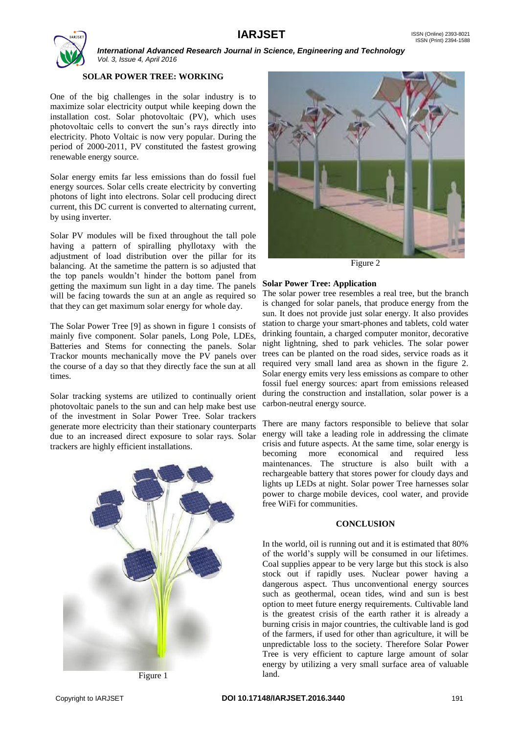

*International Advanced Research Journal in Science, Engineering and Technology Vol. 3, Issue 4, April 2016*

## **SOLAR POWER TREE: WORKING**

One of the big challenges in the solar industry is to maximize solar electricity output while keeping down the installation cost. Solar photovoltaic (PV), which uses photovoltaic cells to convert the sun's rays directly into electricity. Photo Voltaic is now very popular. During the period of 2000-2011, PV constituted the fastest growing renewable energy source.

Solar energy emits far less emissions than do fossil fuel energy sources. Solar cells create electricity by converting photons of light into electrons. Solar cell producing direct current, this DC current is converted to alternating current, by using inverter.

Solar PV modules will be fixed throughout the tall pole having a pattern of spiralling phyllotaxy with the adjustment of load distribution over the pillar for its balancing. At the sametime the pattern is so adjusted that the top panels wouldn't hinder the bottom panel from getting the maximum sun light in a day time. The panels will be facing towards the sun at an angle as required so that they can get maximum solar energy for whole day.

The Solar Power Tree [9] as shown in figure 1 consists of mainly five component. Solar panels, Long Pole, LDEs, Batteries and Stems for connecting the panels. Solar Trackor mounts mechanically move the PV panels over the course of a day so that they directly face the sun at all times.

Solar tracking systems are utilized to continually orient photovoltaic panels to the sun and can help make best use of the investment in Solar Power Tree. Solar trackers generate more electricity than their stationary counterparts due to an increased direct exposure to solar rays. Solar trackers are highly efficient installations.







Figure 2

#### **Solar Power Tree: Application**

The solar power tree resembles a real tree, but the branch is changed for solar panels, that produce energy from the sun. It does not provide just solar energy. It also provides station to charge your smart-phones and tablets, cold water drinking fountain, a charged computer monitor, decorative night lightning, shed to park vehicles. The solar power trees can be planted on the road sides, service roads as it required very small land area as shown in the figure 2. Solar energy emits very less emissions as compare to other fossil fuel energy sources: apart from emissions released during the construction and installation, solar power is a carbon-neutral energy source.

There are many factors responsible to believe that solar energy will take a leading role in addressing the climate crisis and future aspects. At the same time, solar energy is becoming more economical and required less maintenances. The structure is also built with a rechargeable battery that stores power for cloudy days and lights up LEDs at night. Solar power Tree harnesses solar power to charge mobile devices, cool water, and provide free WiFi for communities.

#### **CONCLUSION**

In the world, oil is running out and it is estimated that 80% of the world's supply will be consumed in our lifetimes. Coal supplies appear to be very large but this stock is also stock out if rapidly uses. Nuclear power having a dangerous aspect. Thus unconventional energy sources such as geothermal, ocean tides, wind and sun is best option to meet future energy requirements. Cultivable land is the greatest crisis of the earth rather it is already a burning crisis in major countries, the cultivable land is god of the farmers, if used for other than agriculture, it will be unpredictable loss to the society. Therefore Solar Power Tree is very efficient to capture large amount of solar energy by utilizing a very small surface area of valuable land.